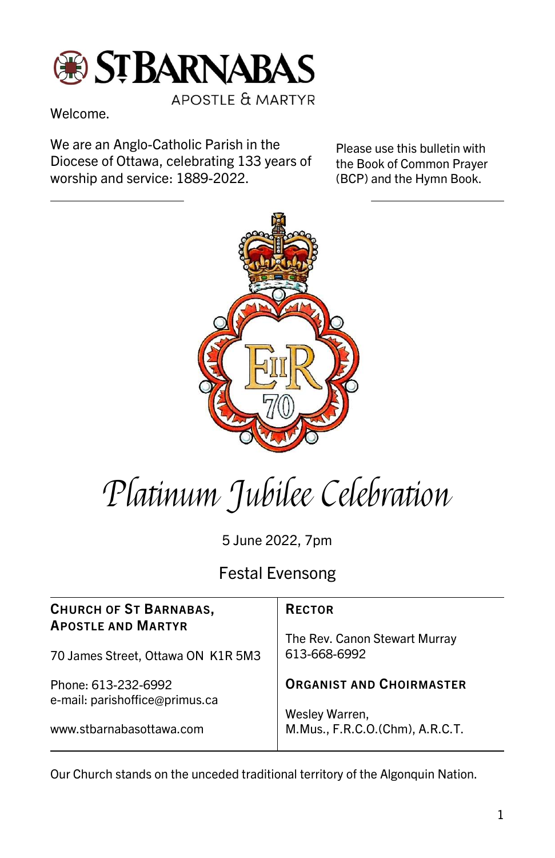

**APOSTLE & MARTYR** 

Welcome.

We are an Anglo-Catholic Parish in the Diocese of Ottawa, celebrating 133 years of worship and service: 1889-2022.

Please use this bulletin with the Book of Common Prayer (BCP) and the Hymn Book.



## Platinum Jubilee Celebration

5 June 2022, 7pm

Festal Evensong

| <b>CHURCH OF ST BARNABAS,</b><br><b>APOSTLE AND MARTYR</b><br>70 James Street, Ottawa ON K1R 5M3 | <b>RECTOR</b>                                     |
|--------------------------------------------------------------------------------------------------|---------------------------------------------------|
|                                                                                                  | The Rev. Canon Stewart Murray<br>613-668-6992     |
| Phone: 613-232-6992<br>e-mail: parishoffice@primus.ca                                            | <b>ORGANIST AND CHOIRMASTER</b>                   |
| www.stbarnabasottawa.com                                                                         | Wesley Warren,<br>M.Mus., F.R.C.O.(Chm), A.R.C.T. |

Our Church stands on the unceded traditional territory of the Algonquin Nation.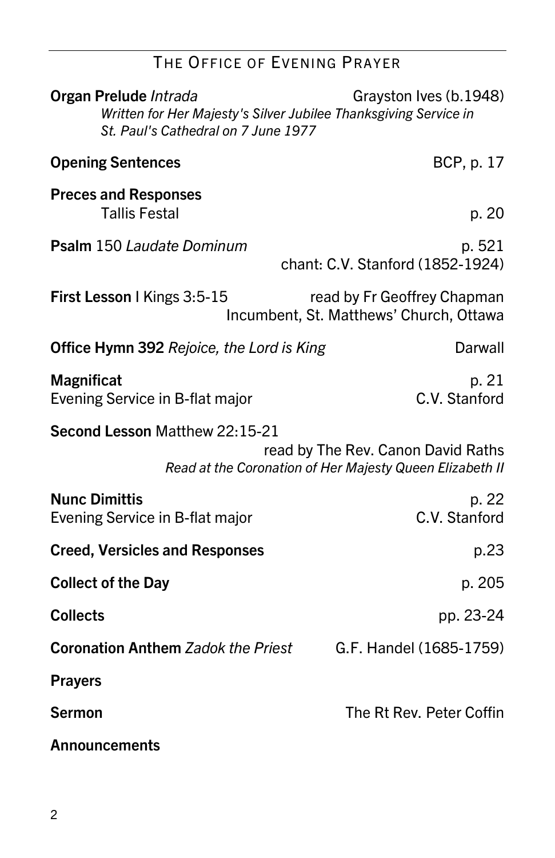## THE OFFICE OF EVENING PRAYER

| Organ Prelude Intrada<br>Written for Her Majesty's Silver Jubilee Thanksgiving Service in<br>St. Paul's Cathedral on 7 June 1977 | Grayston Ives (b.1948)                                                 |
|----------------------------------------------------------------------------------------------------------------------------------|------------------------------------------------------------------------|
| <b>Opening Sentences</b>                                                                                                         | BCP, p. 17                                                             |
| <b>Preces and Responses</b><br><b>Tallis Festal</b>                                                                              | p. 20                                                                  |
| Psalm 150 Laudate Dominum                                                                                                        | p. 521<br>chant: C.V. Stanford (1852-1924)                             |
| First Lesson   Kings 3:5-15                                                                                                      | read by Fr Geoffrey Chapman<br>Incumbent, St. Matthews' Church, Ottawa |
| <b>Office Hymn 392 Rejoice, the Lord is King</b>                                                                                 | Darwall                                                                |
| <b>Magnificat</b><br>Evening Service in B-flat major                                                                             | p. 21<br>C.V. Stanford                                                 |
| Second Lesson Matthew 22:15-21<br>read by The Rev. Canon David Raths<br>Read at the Coronation of Her Majesty Queen Elizabeth II |                                                                        |
| <b>Nunc Dimittis</b><br>Evening Service in B-flat major                                                                          | p. 22<br>C.V. Stanford                                                 |
| <b>Creed, Versicles and Responses</b>                                                                                            | p.23                                                                   |
| <b>Collect of the Day</b>                                                                                                        | p. 205                                                                 |
| <b>Collects</b>                                                                                                                  | pp. 23-24                                                              |
| <b>Coronation Anthem Zadok the Priest</b>                                                                                        | G.F. Handel (1685-1759)                                                |
| <b>Prayers</b>                                                                                                                   |                                                                        |
| <b>Sermon</b>                                                                                                                    | The Rt Rev. Peter Coffin                                               |
| <b>Announcements</b>                                                                                                             |                                                                        |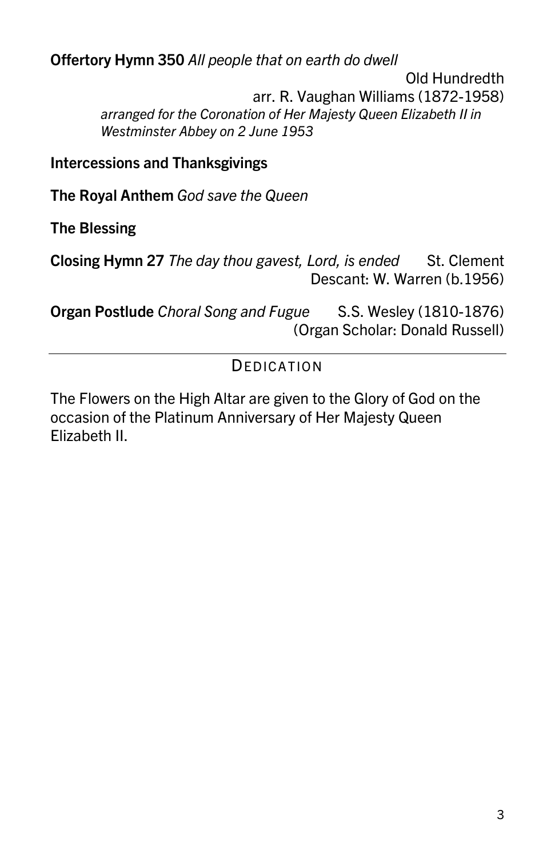Offertory Hymn 350 All people that on earth do dwell Old Hundredth arr. R. Vaughan Williams (1872-1958) arranged for the Coronation of Her Majesty Queen Elizabeth II in Westminster Abbey on 2 June 1953

Intercessions and Thanksgivings

The Royal Anthem God save the Queen

The Blessing

Closing Hymn 27 The day thou gavest, Lord, is ended St. Clement Descant: W. Warren (b.1956)

Organ Postlude Choral Song and Fugue S.S. Wesley (1810-1876) (Organ Scholar: Donald Russell)

## **DEDICATION**

The Flowers on the High Altar are given to the Glory of God on the occasion of the Platinum Anniversary of Her Majesty Queen Elizabeth II.